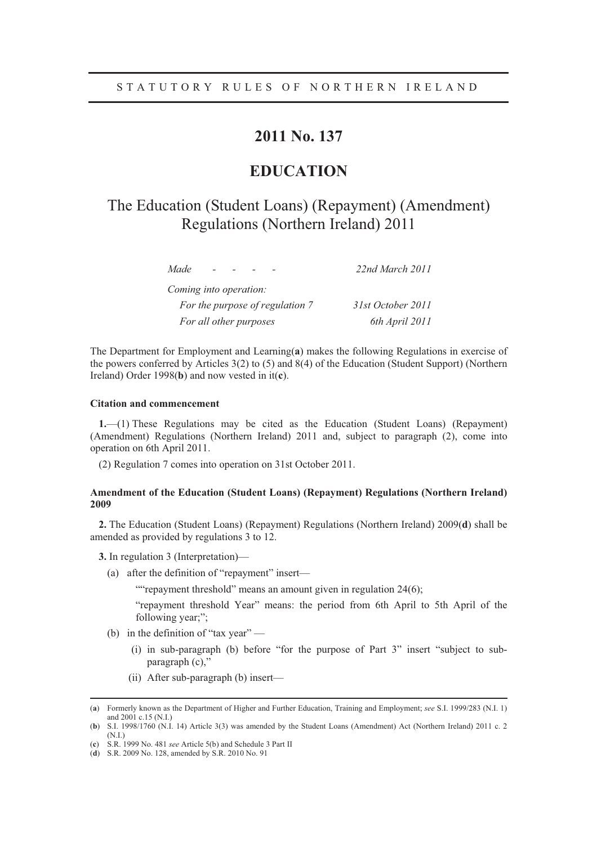### **2011 No. 137**

### **EDUCATION**

## The Education (Student Loans) (Repayment) (Amendment) Regulations (Northern Ireland) 2011

| Made                            | 22nd March 2011   |
|---------------------------------|-------------------|
| Coming into operation:          |                   |
| For the purpose of regulation 7 | 31st October 2011 |
| For all other purposes          | 6th April 2011    |

The Department for Employment and Learning(**a**) makes the following Regulations in exercise of the powers conferred by Articles 3(2) to (5) and 8(4) of the Education (Student Support) (Northern Ireland) Order 1998(**b**) and now vested in it(**c**).

#### **Citation and commencement**

**1.**—(1) These Regulations may be cited as the Education (Student Loans) (Repayment) (Amendment) Regulations (Northern Ireland) 2011 and, subject to paragraph (2), come into operation on 6th April 2011.

(2) Regulation 7 comes into operation on 31st October 2011.

#### **Amendment of the Education (Student Loans) (Repayment) Regulations (Northern Ireland) 2009**

**2.** The Education (Student Loans) (Repayment) Regulations (Northern Ireland) 2009(**d**) shall be amended as provided by regulations 3 to 12.

**3.** In regulation 3 (Interpretation)—

(a) after the definition of "repayment" insert—

""repayment threshold" means an amount given in regulation 24(6);

"repayment threshold Year" means: the period from 6th April to 5th April of the following year;";

- (b) in the definition of "tax year"
	- (i) in sub-paragraph (b) before "for the purpose of Part 3" insert "subject to subparagraph (c),"
	- (ii) After sub-paragraph (b) insert—

 <sup>(</sup>**a**) Formerly known as the Department of Higher and Further Education, Training and Employment; *see* S.I. 1999/283 (N.I. 1) and 2001 c.15 (N.I.)

<sup>(</sup>**b**) S.I. 1998/1760 (N.I. 14) Article 3(3) was amended by the Student Loans (Amendment) Act (Northern Ireland) 2011 c. 2 (N.I.)

<sup>(</sup>**c**) S.R. 1999 No. 481 *see* Article 5(b) and Schedule 3 Part II

<sup>(</sup>**d**) S.R. 2009 No. 128, amended by S.R. 2010 No. 91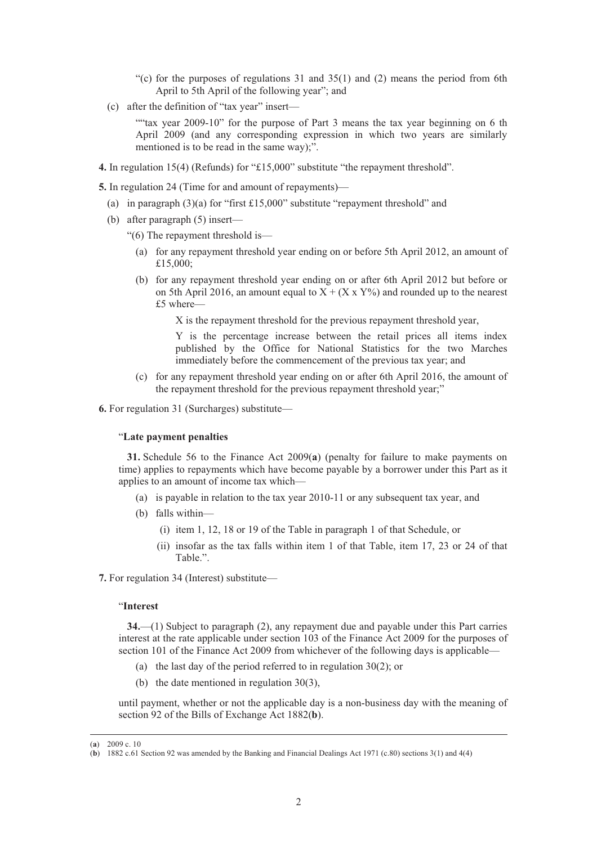- "(c) for the purposes of regulations  $31$  and  $35(1)$  and (2) means the period from 6th April to 5th April of the following year"; and
- (c) after the definition of "tax year" insert—

""tax year 2009-10" for the purpose of Part 3 means the tax year beginning on 6 th April 2009 (and any corresponding expression in which two years are similarly mentioned is to be read in the same way);".

**4.** In regulation 15(4) (Refunds) for "£15,000" substitute "the repayment threshold".

**5.** In regulation 24 (Time for and amount of repayments)—

- (a) in paragraph  $(3)(a)$  for "first £15,000" substitute "repayment threshold" and
- (b) after paragraph (5) insert—
	- "(6) The repayment threshold is—
		- (a) for any repayment threshold year ending on or before 5th April 2012, an amount of £15,000;
		- (b) for any repayment threshold year ending on or after 6th April 2012 but before or on 5th April 2016, an amount equal to  $X + (X \times Y)$  and rounded up to the nearest £5 where—

X is the repayment threshold for the previous repayment threshold year,

Y is the percentage increase between the retail prices all items index published by the Office for National Statistics for the two Marches immediately before the commencement of the previous tax year; and

(c) for any repayment threshold year ending on or after 6th April 2016, the amount of the repayment threshold for the previous repayment threshold year;"

**6.** For regulation 31 (Surcharges) substitute—

#### "**Late payment penalties**

**31.** Schedule 56 to the Finance Act 2009(**a**) (penalty for failure to make payments on time) applies to repayments which have become payable by a borrower under this Part as it applies to an amount of income tax which—

- (a) is payable in relation to the tax year 2010-11 or any subsequent tax year, and
- (b) falls within—
	- (i) item 1, 12, 18 or 19 of the Table in paragraph 1 of that Schedule, or
	- (ii) insofar as the tax falls within item 1 of that Table, item 17, 23 or 24 of that Table<sup>"</sup>

**7.** For regulation 34 (Interest) substitute—

#### "**Interest**

**34.**—(1) Subject to paragraph (2), any repayment due and payable under this Part carries interest at the rate applicable under section 103 of the Finance Act 2009 for the purposes of section 101 of the Finance Act 2009 from whichever of the following days is applicable—

- (a) the last day of the period referred to in regulation 30(2); or
- (b) the date mentioned in regulation 30(3),

until payment, whether or not the applicable day is a non-business day with the meaning of section 92 of the Bills of Exchange Act 1882(**b**).

 <sup>(</sup>**a**) 2009 c. 10

<sup>(</sup>**b**) 1882 c.61 Section 92 was amended by the Banking and Financial Dealings Act 1971 (c.80) sections 3(1) and 4(4)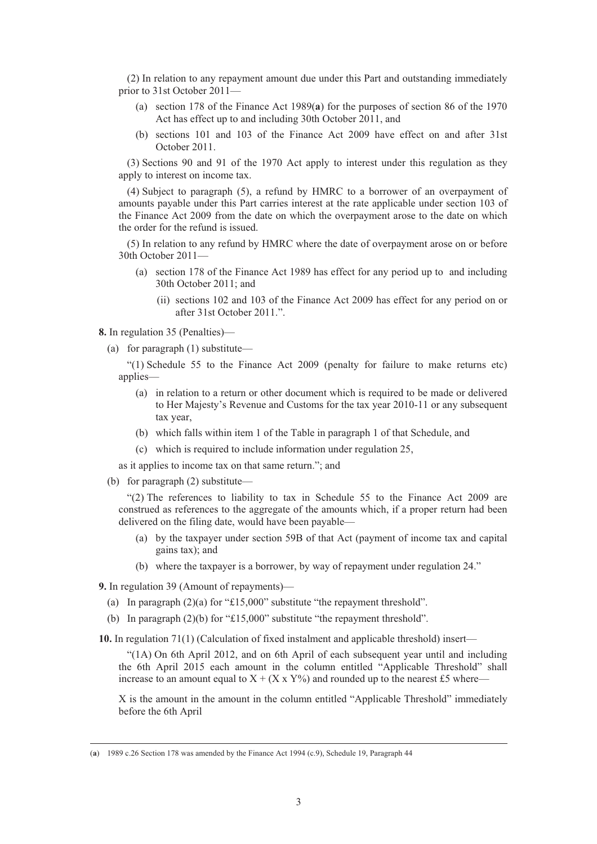(2) In relation to any repayment amount due under this Part and outstanding immediately prior to 31st October 2011—

- (a) section 178 of the Finance Act 1989(**a**) for the purposes of section 86 of the 1970 Act has effect up to and including 30th October 2011, and
- (b) sections 101 and 103 of the Finance Act 2009 have effect on and after 31st October 2011.

(3) Sections 90 and 91 of the 1970 Act apply to interest under this regulation as they apply to interest on income tax.

(4) Subject to paragraph (5), a refund by HMRC to a borrower of an overpayment of amounts payable under this Part carries interest at the rate applicable under section 103 of the Finance Act 2009 from the date on which the overpayment arose to the date on which the order for the refund is issued.

(5) In relation to any refund by HMRC where the date of overpayment arose on or before 30th October 2011—

- (a) section 178 of the Finance Act 1989 has effect for any period up to and including 30th October 2011; and
	- (ii) sections 102 and 103 of the Finance Act 2009 has effect for any period on or after 31st October 2011.".

**8.** In regulation 35 (Penalties)—

(a) for paragraph (1) substitute—

"(1) Schedule 55 to the Finance Act 2009 (penalty for failure to make returns etc) applies—

- (a) in relation to a return or other document which is required to be made or delivered to Her Majesty's Revenue and Customs for the tax year 2010-11 or any subsequent tax year,
- (b) which falls within item 1 of the Table in paragraph 1 of that Schedule, and
- (c) which is required to include information under regulation 25,

as it applies to income tax on that same return."; and

(b) for paragraph (2) substitute—

"(2) The references to liability to tax in Schedule 55 to the Finance Act 2009 are construed as references to the aggregate of the amounts which, if a proper return had been delivered on the filing date, would have been payable—

- (a) by the taxpayer under section 59B of that Act (payment of income tax and capital gains tax); and
- (b) where the taxpayer is a borrower, by way of repayment under regulation 24."

**9.** In regulation 39 (Amount of repayments)—

- (a) In paragraph (2)(a) for "£15,000" substitute "the repayment threshold".
- (b) In paragraph (2)(b) for "£15,000" substitute "the repayment threshold".

**10.** In regulation 71(1) (Calculation of fixed instalment and applicable threshold) insert—

"(1A) On 6th April 2012, and on 6th April of each subsequent year until and including the 6th April 2015 each amount in the column entitled "Applicable Threshold" shall increase to an amount equal to  $X + (X \times Y%)$  and rounded up to the nearest £5 where—

X is the amount in the amount in the column entitled "Applicable Threshold" immediately before the 6th April

 <sup>(</sup>**a**) 1989 c.26 Section 178 was amended by the Finance Act 1994 (c.9), Schedule 19, Paragraph 44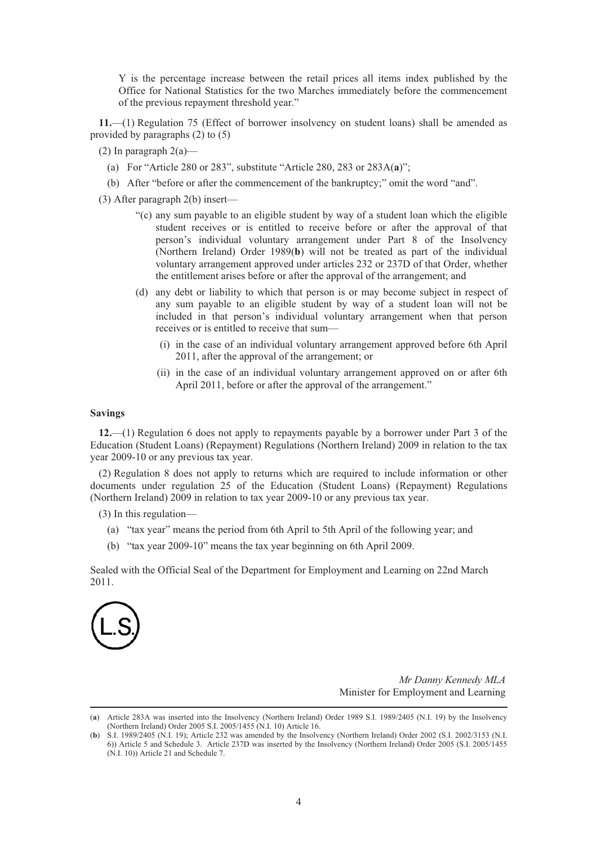Y is the percentage increase between the retail prices all items index published by the Office for National Statistics for the two Marches immediately before the commencement of the previous repayment threshold year."

**11.**—(1) Regulation 75 (Effect of borrower insolvency on student loans) shall be amended as provided by paragraphs (2) to (5)

(2) In paragraph  $2(a)$ —

- (a) For "Article 280 or 283", substitute "Article 280, 283 or 283A(**a**)";
- (b) After "before or after the commencement of the bankruptcy;" omit the word "and".
- (3) After paragraph 2(b) insert—
	- "(c) any sum payable to an eligible student by way of a student loan which the eligible student receives or is entitled to receive before or after the approval of that person's individual voluntary arrangement under Part 8 of the Insolvency (Northern Ireland) Order 1989(**b**) will not be treated as part of the individual voluntary arrangement approved under articles 232 or 237D of that Order, whether the entitlement arises before or after the approval of the arrangement; and
	- (d) any debt or liability to which that person is or may become subject in respect of any sum payable to an eligible student by way of a student loan will not be included in that person's individual voluntary arrangement when that person receives or is entitled to receive that sum—
		- (i) in the case of an individual voluntary arrangement approved before 6th April 2011, after the approval of the arrangement; or
		- (ii) in the case of an individual voluntary arrangement approved on or after 6th April 2011, before or after the approval of the arrangement."

#### **Savings**

**12.**—(1) Regulation 6 does not apply to repayments payable by a borrower under Part 3 of the Education (Student Loans) (Repayment) Regulations (Northern Ireland) 2009 in relation to the tax year 2009-10 or any previous tax year.

(2) Regulation 8 does not apply to returns which are required to include information or other documents under regulation 25 of the Education (Student Loans) (Repayment) Regulations (Northern Ireland) 2009 in relation to tax year 2009-10 or any previous tax year.

(3) In this regulation—

- (a) "tax year" means the period from 6th April to 5th April of the following year; and
- (b) "tax year 2009-10" means the tax year beginning on 6th April 2009.

Sealed with the Official Seal of the Department for Employment and Learning on 22nd March 2011.



*Mr Danny Kennedy MLA* Minister for Employment and Learning

 <sup>(</sup>**a**) Article 283A was inserted into the Insolvency (Northern Ireland) Order 1989 S.I. 1989/2405 (N.I. 19) by the Insolvency (Northern Ireland) Order 2005 S.I. 2005/1455 (N.I. 10) Article 16.

<sup>(</sup>**b**) S.I. 1989/2405 (N.I. 19); Article 232 was amended by the Insolvency (Northern Ireland) Order 2002 (S.I. 2002/3153 (N.I. 6)) Article 5 and Schedule 3. Article 237D was inserted by the Insolvency (Northern Ireland) Order 2005 (S.I. 2005/1455 (N.I. 10)) Article 21 and Schedule 7.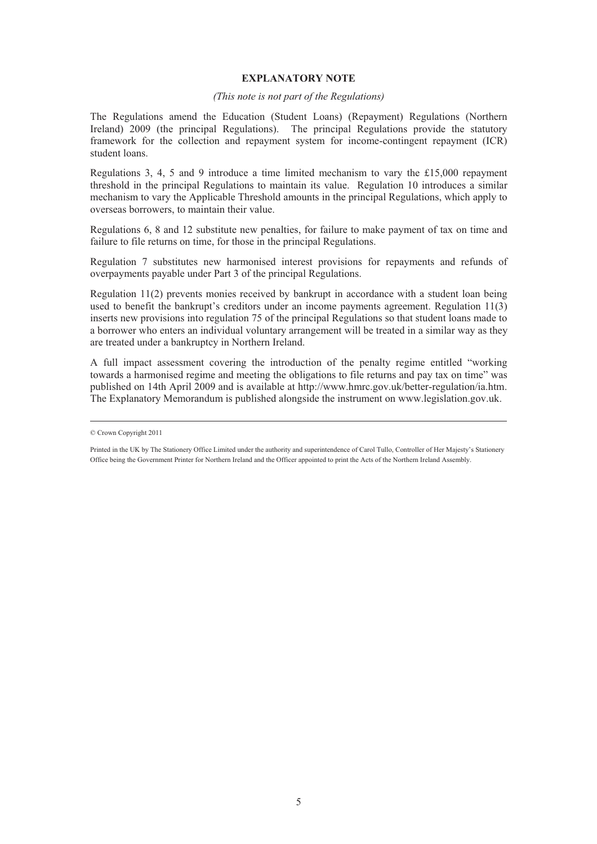#### **EXPLANATORY NOTE**

#### *(This note is not part of the Regulations)*

The Regulations amend the Education (Student Loans) (Repayment) Regulations (Northern Ireland) 2009 (the principal Regulations). The principal Regulations provide the statutory framework for the collection and repayment system for income-contingent repayment (ICR) student loans.

Regulations 3, 4, 5 and 9 introduce a time limited mechanism to vary the £15,000 repayment threshold in the principal Regulations to maintain its value. Regulation 10 introduces a similar mechanism to vary the Applicable Threshold amounts in the principal Regulations, which apply to overseas borrowers, to maintain their value.

Regulations 6, 8 and 12 substitute new penalties, for failure to make payment of tax on time and failure to file returns on time, for those in the principal Regulations.

Regulation 7 substitutes new harmonised interest provisions for repayments and refunds of overpayments payable under Part 3 of the principal Regulations.

Regulation 11(2) prevents monies received by bankrupt in accordance with a student loan being used to benefit the bankrupt's creditors under an income payments agreement. Regulation 11(3) inserts new provisions into regulation 75 of the principal Regulations so that student loans made to a borrower who enters an individual voluntary arrangement will be treated in a similar way as they are treated under a bankruptcy in Northern Ireland.

A full impact assessment covering the introduction of the penalty regime entitled "working towards a harmonised regime and meeting the obligations to file returns and pay tax on time" was published on 14th April 2009 and is available at http://www.hmrc.gov.uk/better-regulation/ia.htm. The Explanatory Memorandum is published alongside the instrument on www.legislation.gov.uk.

<sup>©</sup> Crown Copyright 2011

Printed in the UK by The Stationery Office Limited under the authority and superintendence of Carol Tullo, Controller of Her Majesty's Stationery Office being the Government Printer for Northern Ireland and the Officer appointed to print the Acts of the Northern Ireland Assembly.